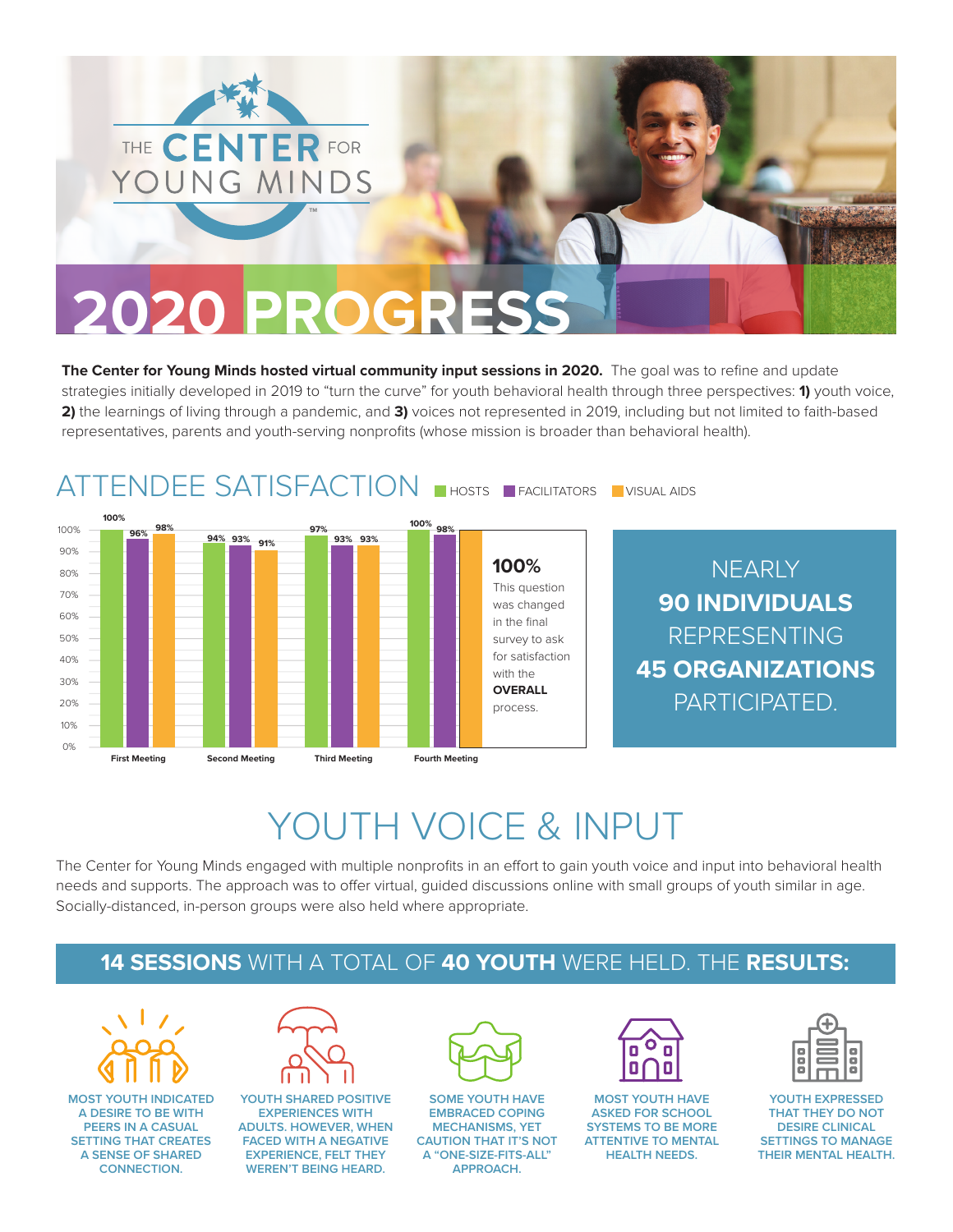

**The Center for Young Minds hosted virtual community input sessions in 2020.** The goal was to refine and update strategies initially developed in 2019 to "turn the curve" for youth behavioral health through three perspectives: **1)** youth voice, **2)** the learnings of living through a pandemic, and **3)** voices not represented in 2019, including but not limited to faith-based representatives, parents and youth-serving nonprofits (whose mission is broader than behavioral health).



### YOUTH VOICE & INPUT

The Center for Young Minds engaged with multiple nonprofits in an effort to gain youth voice and input into behavioral health needs and supports. The approach was to offer virtual, guided discussions online with small groups of youth similar in age. Socially-distanced, in-person groups were also held where appropriate.

#### **14 SESSIONS** WITH A TOTAL OF **40 YOUTH** WERE HELD. THE **RESULTS:**



**MOST YOUTH INDICATED A DESIRE TO BE WITH PEERS IN A CASUAL SETTING THAT CREATES A SENSE OF SHARED CONNECTION.**



**YOUTH SHARED POSITIVE EXPERIENCES WITH ADULTS. HOWEVER, WHEN FACED WITH A NEGATIVE EXPERIENCE, FELT THEY WEREN'T BEING HEARD.** 



**SOME YOUTH HAVE EMBRACED COPING MECHANISMS, YET CAUTION THAT IT'S NOT A "ONE-SIZE-FITS-ALL" APPROACH.** 



**MOST YOUTH HAVE ASKED FOR SCHOOL SYSTEMS TO BE MORE ATTENTIVE TO MENTAL HEALTH NEEDS.** 

**YOUTH EXPRESSED THAT THEY DO NOT DESIRE CLINICAL SETTINGS TO MANAGE THEIR MENTAL HEALTH.**